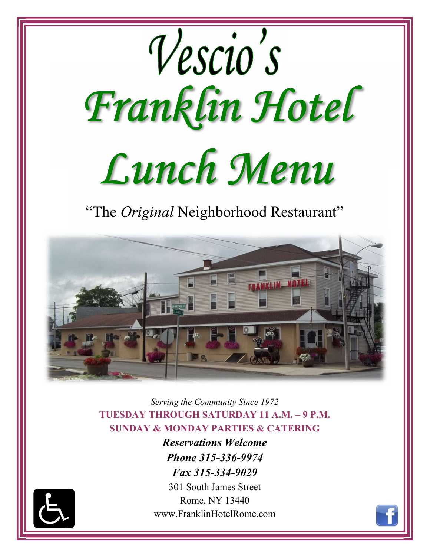

"The *Original* Neighborhood Restaurant"



Serving the Community Since 1972 TUESDAY THROUGH SATURDAY 11 A.M. – 9 P.M. SUNDAY & MONDAY PARTIES & CATERING

> Reservations Welcome Phone 315-336-9974 Fax 315-334-9029

301 South James Street Rome, NY 13440 www.FranklinHotelRome.com

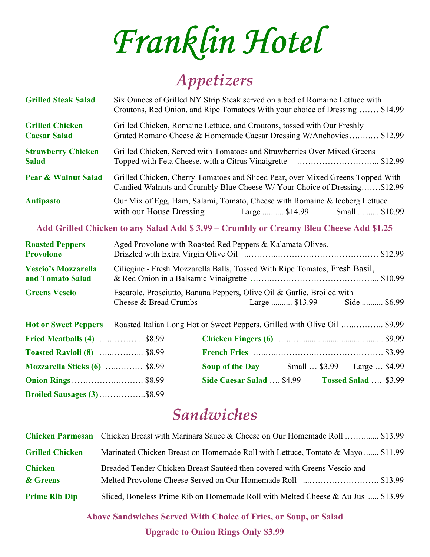Franklin Hotel

# Appetizers

| <b>Grilled Steak Salad</b>                    | Six Ounces of Grilled NY Strip Steak served on a bed of Romaine Lettuce with<br>Croutons, Red Onion, and Ripe Tomatoes With your choice of Dressing  \$14.99 |
|-----------------------------------------------|--------------------------------------------------------------------------------------------------------------------------------------------------------------|
| <b>Grilled Chicken</b><br><b>Caesar Salad</b> | Grilled Chicken, Romaine Lettuce, and Croutons, tossed with Our Freshly<br>Grated Romano Cheese & Homemade Caesar Dressing W/Anchovies \$12.99               |
| <b>Strawberry Chicken</b><br><b>Salad</b>     | Grilled Chicken, Served with Tomatoes and Strawberries Over Mixed Greens                                                                                     |
| <b>Pear &amp; Walnut Salad</b>                | Grilled Chicken, Cherry Tomatoes and Sliced Pear, over Mixed Greens Topped With<br>Candied Walnuts and Crumbly Blue Cheese W/ Your Choice of Dressing\$12.99 |
| <b>Antipasto</b>                              | Our Mix of Egg, Ham, Salami, Tomato, Cheese with Romaine & Iceberg Lettuce<br>with our House Dressing<br>Large  \$14.99 Small  \$10.99                       |

#### Add Grilled Chicken to any Salad Add \$ 3.99 – Crumbly or Creamy Bleu Cheese Add \$1.25

| <b>Roasted Peppers</b><br><b>Provolone</b>     | Aged Provolone with Roasted Red Peppers & Kalamata Olives.                                                                  |                                                    |  |
|------------------------------------------------|-----------------------------------------------------------------------------------------------------------------------------|----------------------------------------------------|--|
| <b>Vescio's Mozzarella</b><br>and Tomato Salad | Ciliegine - Fresh Mozzarella Balls, Tossed With Ripe Tomatos, Fresh Basil,                                                  |                                                    |  |
| <b>Greens Vescio</b>                           | Escarole, Prosciutto, Banana Peppers, Olive Oil & Garlic. Broiled with<br>Cheese & Bread Crumbs Large  \$13.99 Side  \$6.99 |                                                    |  |
|                                                | <b>Hot or Sweet Peppers</b> Roasted Italian Long Hot or Sweet Peppers. Grilled with Olive Oil  \$9.99                       |                                                    |  |
| <b>Fried Meatballs (4)</b> \$8.99              |                                                                                                                             |                                                    |  |
| <b>Toasted Ravioli (8)</b> \$8.99              |                                                                                                                             |                                                    |  |
| <b>Mozzarella Sticks (6)</b> \$8.99            |                                                                                                                             | <b>Soup of the Day</b> Small  \$3.99 Large  \$4.99 |  |
|                                                |                                                                                                                             | Side Caesar Salad  \$4.99 Tossed Salad  \$3.99     |  |
| <b>Broiled Sausages (3)</b> \$8.99             |                                                                                                                             |                                                    |  |

### Sandwiches

|                            | <b>Chicken Parmesan</b> Chicken Breast with Marinara Sauce & Cheese on Our Homemade Roll  \$13.99 |
|----------------------------|---------------------------------------------------------------------------------------------------|
| <b>Grilled Chicken</b>     | Marinated Chicken Breast on Homemade Roll with Lettuce, Tomato & Mayo  \$11.99                    |
| <b>Chicken</b><br>& Greens | Breaded Tender Chicken Breast Sautéed then covered with Greens Vescio and                         |
| <b>Prime Rib Dip</b>       | Sliced, Boneless Prime Rib on Homemade Roll with Melted Cheese & Au Jus  \$13.99                  |

Above Sandwiches Served With Choice of Fries, or Soup, or Salad Upgrade to Onion Rings Only \$3.99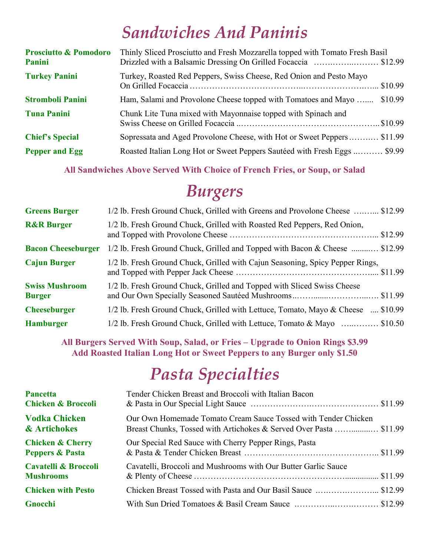### Sandwiches And Paninis

| <b>Prosciutto &amp; Pomodoro</b><br>Panini | Thinly Sliced Prosciutto and Fresh Mozzarella topped with Tomato Fresh Basil<br>Drizzled with a Balsamic Dressing On Grilled Focaccia \$12.99 |
|--------------------------------------------|-----------------------------------------------------------------------------------------------------------------------------------------------|
| <b>Turkey Panini</b>                       | Turkey, Roasted Red Peppers, Swiss Cheese, Red Onion and Pesto Mayo                                                                           |
| <b>Stromboli Panini</b>                    | \$10.99<br>Ham, Salami and Provolone Cheese topped with Tomatoes and Mayo                                                                     |
| <b>Tuna Panini</b>                         | Chunk Lite Tuna mixed with Mayonnaise topped with Spinach and                                                                                 |
| <b>Chief's Special</b>                     | Sopressata and Aged Provolone Cheese, with Hot or Sweet Peppers \$11.99                                                                       |
| <b>Pepper and Egg</b>                      | Roasted Italian Long Hot or Sweet Peppers Sautéed with Fresh Eggs  \$9.99                                                                     |

#### All Sandwiches Above Served With Choice of French Fries, or Soup, or Salad

### Burgers

| <b>Greens Burger</b>                   | 1/2 lb. Fresh Ground Chuck, Grilled with Greens and Provolone Cheese  \$12.99    |
|----------------------------------------|----------------------------------------------------------------------------------|
| <b>R&amp;R Burger</b>                  | 1/2 lb. Fresh Ground Chuck, Grilled with Roasted Red Peppers, Red Onion,         |
| <b>Bacon Cheeseburger</b>              | 1/2 lb. Fresh Ground Chuck, Grilled and Topped with Bacon & Cheese  \$12.99      |
| <b>Cajun Burger</b>                    | 1/2 lb. Fresh Ground Chuck, Grilled with Cajun Seasoning, Spicy Pepper Rings,    |
| <b>Swiss Mushroom</b><br><b>Burger</b> | 1/2 lb. Fresh Ground Chuck, Grilled and Topped with Sliced Swiss Cheese          |
| <b>Cheeseburger</b>                    | 1/2 lb. Fresh Ground Chuck, Grilled with Lettuce, Tomato, Mayo & Cheese  \$10.99 |
| <b>Hamburger</b>                       | 1/2 lb. Fresh Ground Chuck, Grilled with Lettuce, Tomato & Mayo  \$10.50         |

#### All Burgers Served With Soup, Salad, or Fries – Upgrade to Onion Rings \$3.99 Add Roasted Italian Long Hot or Sweet Peppers to any Burger only \$1.50

# Pasta Specialties

| <b>Pancetta</b>               | Tender Chicken Breast and Broccoli with Italian Bacon              |
|-------------------------------|--------------------------------------------------------------------|
| <b>Chicken &amp; Broccoli</b> |                                                                    |
| <b>Vodka Chicken</b>          | Our Own Homemade Tomato Cream Sauce Tossed with Tender Chicken     |
| & Artichokes                  | Breast Chunks, Tossed with Artichokes & Served Over Pasta  \$11.99 |
| <b>Chicken &amp; Cherry</b>   | Our Special Red Sauce with Cherry Pepper Rings, Pasta              |
| <b>Peppers &amp; Pasta</b>    |                                                                    |
| Cavatelli & Broccoli          | Cavatelli, Broccoli and Mushrooms with Our Butter Garlic Sauce     |
| <b>Mushrooms</b>              |                                                                    |
| <b>Chicken with Pesto</b>     | Chicken Breast Tossed with Pasta and Our Basil Sauce  \$12.99      |
| Gnocchi                       |                                                                    |